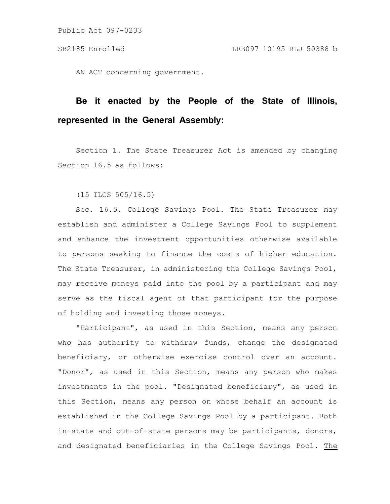AN ACT concerning government.

# **Be it enacted by the People of the State of Illinois, represented in the General Assembly:**

Section 1. The State Treasurer Act is amended by changing Section 16.5 as follows:

(15 ILCS 505/16.5)

Sec. 16.5. College Savings Pool. The State Treasurer may establish and administer a College Savings Pool to supplement and enhance the investment opportunities otherwise available to persons seeking to finance the costs of higher education. The State Treasurer, in administering the College Savings Pool, may receive moneys paid into the pool by a participant and may serve as the fiscal agent of that participant for the purpose of holding and investing those moneys.

"Participant", as used in this Section, means any person who has authority to withdraw funds, change the designated beneficiary, or otherwise exercise control over an account. "Donor", as used in this Section, means any person who makes investments in the pool. "Designated beneficiary", as used in this Section, means any person on whose behalf an account is established in the College Savings Pool by a participant. Both in-state and out-of-state persons may be participants, donors, and designated beneficiaries in the College Savings Pool. The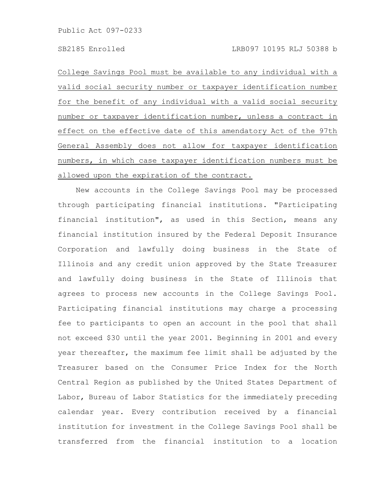College Savings Pool must be available to any individual with a valid social security number or taxpayer identification number for the benefit of any individual with a valid social security number or taxpayer identification number, unless a contract in effect on the effective date of this amendatory Act of the 97th General Assembly does not allow for taxpayer identification numbers, in which case taxpayer identification numbers must be allowed upon the expiration of the contract.

New accounts in the College Savings Pool may be processed through participating financial institutions. "Participating financial institution", as used in this Section, means any financial institution insured by the Federal Deposit Insurance Corporation and lawfully doing business in the State of Illinois and any credit union approved by the State Treasurer and lawfully doing business in the State of Illinois that agrees to process new accounts in the College Savings Pool. Participating financial institutions may charge a processing fee to participants to open an account in the pool that shall not exceed \$30 until the year 2001. Beginning in 2001 and every year thereafter, the maximum fee limit shall be adjusted by the Treasurer based on the Consumer Price Index for the North Central Region as published by the United States Department of Labor, Bureau of Labor Statistics for the immediately preceding calendar year. Every contribution received by a financial institution for investment in the College Savings Pool shall be transferred from the financial institution to a location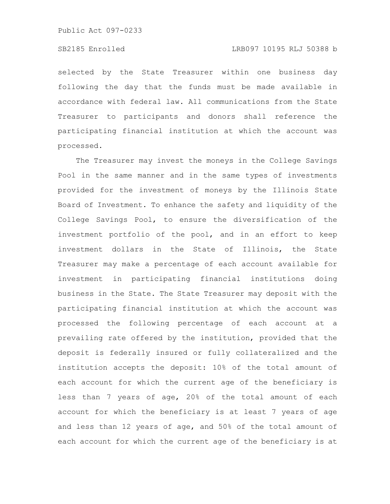selected by the State Treasurer within one business day following the day that the funds must be made available in accordance with federal law. All communications from the State Treasurer to participants and donors shall reference the participating financial institution at which the account was processed.

The Treasurer may invest the moneys in the College Savings Pool in the same manner and in the same types of investments provided for the investment of moneys by the Illinois State Board of Investment. To enhance the safety and liquidity of the College Savings Pool, to ensure the diversification of the investment portfolio of the pool, and in an effort to keep investment dollars in the State of Illinois, the State Treasurer may make a percentage of each account available for investment in participating financial institutions doing business in the State. The State Treasurer may deposit with the participating financial institution at which the account was processed the following percentage of each account at a prevailing rate offered by the institution, provided that the deposit is federally insured or fully collateralized and the institution accepts the deposit: 10% of the total amount of each account for which the current age of the beneficiary is less than 7 years of age, 20% of the total amount of each account for which the beneficiary is at least 7 years of age and less than 12 years of age, and 50% of the total amount of each account for which the current age of the beneficiary is at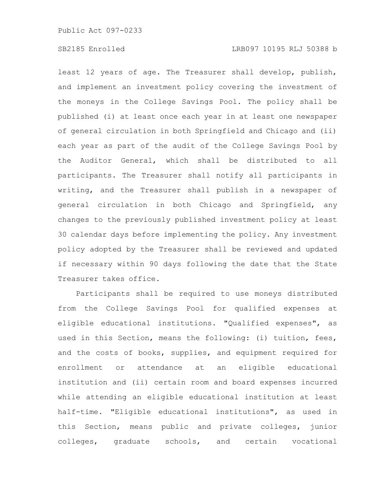least 12 years of age. The Treasurer shall develop, publish, and implement an investment policy covering the investment of the moneys in the College Savings Pool. The policy shall be published (i) at least once each year in at least one newspaper of general circulation in both Springfield and Chicago and (ii) each year as part of the audit of the College Savings Pool by the Auditor General, which shall be distributed to all participants. The Treasurer shall notify all participants in writing, and the Treasurer shall publish in a newspaper of general circulation in both Chicago and Springfield, any changes to the previously published investment policy at least 30 calendar days before implementing the policy. Any investment policy adopted by the Treasurer shall be reviewed and updated if necessary within 90 days following the date that the State Treasurer takes office.

Participants shall be required to use moneys distributed from the College Savings Pool for qualified expenses at eligible educational institutions. "Qualified expenses", as used in this Section, means the following: (i) tuition, fees, and the costs of books, supplies, and equipment required for enrollment or attendance at an eligible educational institution and (ii) certain room and board expenses incurred while attending an eligible educational institution at least half-time. "Eligible educational institutions", as used in this Section, means public and private colleges, junior colleges, graduate schools, and certain vocational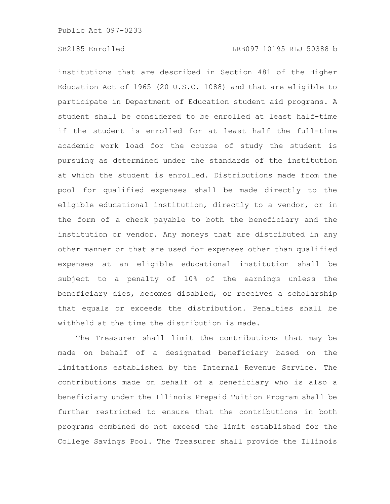institutions that are described in Section 481 of the Higher Education Act of 1965 (20 U.S.C. 1088) and that are eligible to participate in Department of Education student aid programs. A student shall be considered to be enrolled at least half-time if the student is enrolled for at least half the full-time academic work load for the course of study the student is pursuing as determined under the standards of the institution at which the student is enrolled. Distributions made from the pool for qualified expenses shall be made directly to the eligible educational institution, directly to a vendor, or in the form of a check payable to both the beneficiary and the institution or vendor. Any moneys that are distributed in any other manner or that are used for expenses other than qualified expenses at an eligible educational institution shall be subject to a penalty of 10% of the earnings unless the beneficiary dies, becomes disabled, or receives a scholarship that equals or exceeds the distribution. Penalties shall be withheld at the time the distribution is made.

The Treasurer shall limit the contributions that may be made on behalf of a designated beneficiary based on the limitations established by the Internal Revenue Service. The contributions made on behalf of a beneficiary who is also a beneficiary under the Illinois Prepaid Tuition Program shall be further restricted to ensure that the contributions in both programs combined do not exceed the limit established for the College Savings Pool. The Treasurer shall provide the Illinois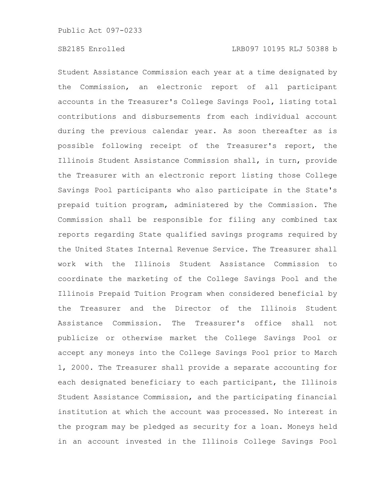Student Assistance Commission each year at a time designated by the Commission, an electronic report of all participant accounts in the Treasurer's College Savings Pool, listing total contributions and disbursements from each individual account during the previous calendar year. As soon thereafter as is possible following receipt of the Treasurer's report, the Illinois Student Assistance Commission shall, in turn, provide the Treasurer with an electronic report listing those College Savings Pool participants who also participate in the State's prepaid tuition program, administered by the Commission. The Commission shall be responsible for filing any combined tax reports regarding State qualified savings programs required by the United States Internal Revenue Service. The Treasurer shall work with the Illinois Student Assistance Commission to coordinate the marketing of the College Savings Pool and the Illinois Prepaid Tuition Program when considered beneficial by the Treasurer and the Director of the Illinois Student Assistance Commission. The Treasurer's office shall not publicize or otherwise market the College Savings Pool or accept any moneys into the College Savings Pool prior to March 1, 2000. The Treasurer shall provide a separate accounting for each designated beneficiary to each participant, the Illinois Student Assistance Commission, and the participating financial institution at which the account was processed. No interest in the program may be pledged as security for a loan. Moneys held in an account invested in the Illinois College Savings Pool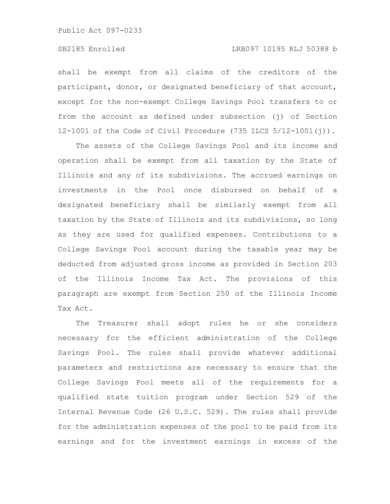# SB2185 Enrolled LRB097 10195 RLJ 50388 b

shall be exempt from all claims of the creditors of the participant, donor, or designated beneficiary of that account, except for the non-exempt College Savings Pool transfers to or from the account as defined under subsection (j) of Section 12-1001 of the Code of Civil Procedure (735 ILCS 5/12-1001(j)).

The assets of the College Savings Pool and its income and operation shall be exempt from all taxation by the State of Illinois and any of its subdivisions. The accrued earnings on investments in the Pool once disbursed on behalf of a designated beneficiary shall be similarly exempt from all taxation by the State of Illinois and its subdivisions, so long as they are used for qualified expenses. Contributions to a College Savings Pool account during the taxable year may be deducted from adjusted gross income as provided in Section 203 of the Illinois Income Tax Act. The provisions of this paragraph are exempt from Section 250 of the Illinois Income Tax Act.

The Treasurer shall adopt rules he or she considers necessary for the efficient administration of the College Savings Pool. The rules shall provide whatever additional parameters and restrictions are necessary to ensure that the College Savings Pool meets all of the requirements for a qualified state tuition program under Section 529 of the Internal Revenue Code (26 U.S.C. 529). The rules shall provide for the administration expenses of the pool to be paid from its earnings and for the investment earnings in excess of the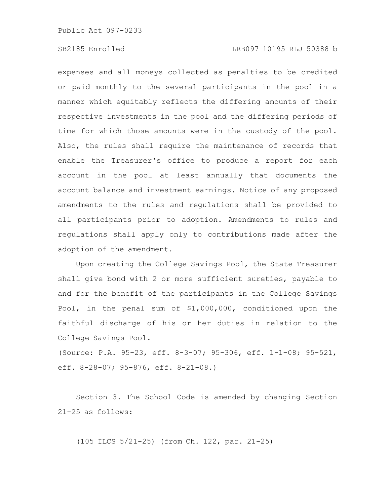expenses and all moneys collected as penalties to be credited or paid monthly to the several participants in the pool in a manner which equitably reflects the differing amounts of their respective investments in the pool and the differing periods of time for which those amounts were in the custody of the pool. Also, the rules shall require the maintenance of records that enable the Treasurer's office to produce a report for each account in the pool at least annually that documents the account balance and investment earnings. Notice of any proposed amendments to the rules and regulations shall be provided to all participants prior to adoption. Amendments to rules and regulations shall apply only to contributions made after the adoption of the amendment.

Upon creating the College Savings Pool, the State Treasurer shall give bond with 2 or more sufficient sureties, payable to and for the benefit of the participants in the College Savings Pool, in the penal sum of \$1,000,000, conditioned upon the faithful discharge of his or her duties in relation to the College Savings Pool.

(Source: P.A. 95-23, eff. 8-3-07; 95-306, eff. 1-1-08; 95-521, eff. 8-28-07; 95-876, eff. 8-21-08.)

Section 3. The School Code is amended by changing Section 21-25 as follows:

(105 ILCS 5/21-25) (from Ch. 122, par. 21-25)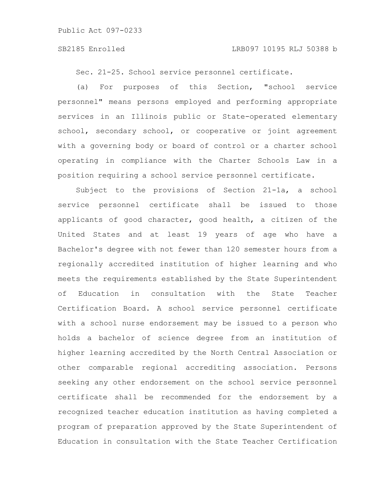Sec. 21-25. School service personnel certificate.

(a) For purposes of this Section, "school service personnel" means persons employed and performing appropriate services in an Illinois public or State-operated elementary school, secondary school, or cooperative or joint agreement with a governing body or board of control or a charter school operating in compliance with the Charter Schools Law in a position requiring a school service personnel certificate.

Subject to the provisions of Section 21-1a, a school service personnel certificate shall be issued to those applicants of good character, good health, a citizen of the United States and at least 19 years of age who have a Bachelor's degree with not fewer than 120 semester hours from a regionally accredited institution of higher learning and who meets the requirements established by the State Superintendent of Education in consultation with the State Teacher Certification Board. A school service personnel certificate with a school nurse endorsement may be issued to a person who holds a bachelor of science degree from an institution of higher learning accredited by the North Central Association or other comparable regional accrediting association. Persons seeking any other endorsement on the school service personnel certificate shall be recommended for the endorsement by a recognized teacher education institution as having completed a program of preparation approved by the State Superintendent of Education in consultation with the State Teacher Certification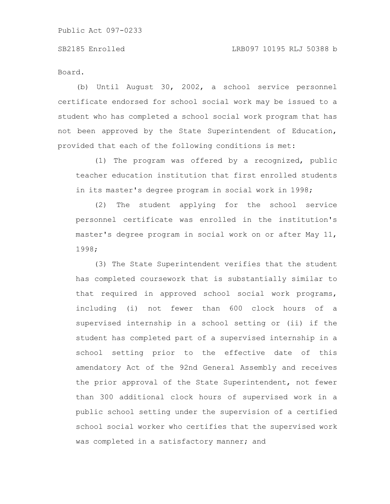Board.

(b) Until August 30, 2002, a school service personnel certificate endorsed for school social work may be issued to a student who has completed a school social work program that has not been approved by the State Superintendent of Education, provided that each of the following conditions is met:

(1) The program was offered by a recognized, public teacher education institution that first enrolled students in its master's degree program in social work in 1998;

(2) The student applying for the school service personnel certificate was enrolled in the institution's master's degree program in social work on or after May 11, 1998;

(3) The State Superintendent verifies that the student has completed coursework that is substantially similar to that required in approved school social work programs, including (i) not fewer than 600 clock hours of a supervised internship in a school setting or (ii) if the student has completed part of a supervised internship in a school setting prior to the effective date of this amendatory Act of the 92nd General Assembly and receives the prior approval of the State Superintendent, not fewer than 300 additional clock hours of supervised work in a public school setting under the supervision of a certified school social worker who certifies that the supervised work was completed in a satisfactory manner; and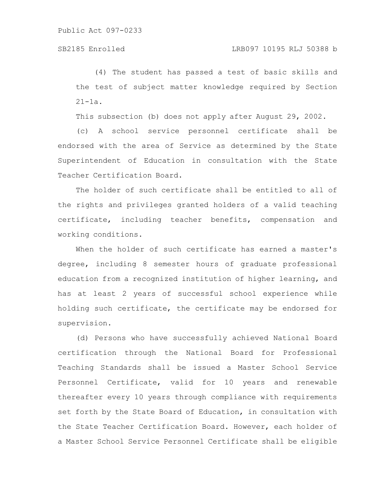(4) The student has passed a test of basic skills and the test of subject matter knowledge required by Section 21-1a.

This subsection (b) does not apply after August 29, 2002.

(c) A school service personnel certificate shall be endorsed with the area of Service as determined by the State Superintendent of Education in consultation with the State Teacher Certification Board.

The holder of such certificate shall be entitled to all of the rights and privileges granted holders of a valid teaching certificate, including teacher benefits, compensation and working conditions.

When the holder of such certificate has earned a master's degree, including 8 semester hours of graduate professional education from a recognized institution of higher learning, and has at least 2 years of successful school experience while holding such certificate, the certificate may be endorsed for supervision.

(d) Persons who have successfully achieved National Board certification through the National Board for Professional Teaching Standards shall be issued a Master School Service Personnel Certificate, valid for 10 years and renewable thereafter every 10 years through compliance with requirements set forth by the State Board of Education, in consultation with the State Teacher Certification Board. However, each holder of a Master School Service Personnel Certificate shall be eligible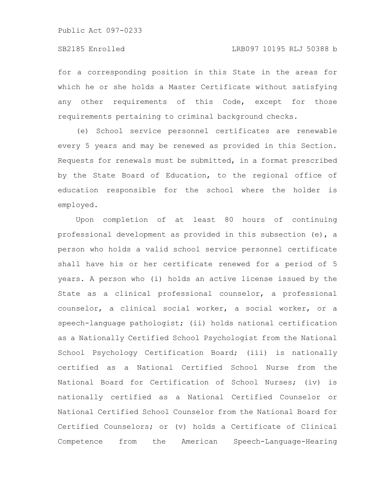for a corresponding position in this State in the areas for which he or she holds a Master Certificate without satisfying any other requirements of this Code, except for those requirements pertaining to criminal background checks.

(e) School service personnel certificates are renewable every 5 years and may be renewed as provided in this Section. Requests for renewals must be submitted, in a format prescribed by the State Board of Education, to the regional office of education responsible for the school where the holder is employed.

Upon completion of at least 80 hours of continuing professional development as provided in this subsection (e), a person who holds a valid school service personnel certificate shall have his or her certificate renewed for a period of 5 years. A person who (i) holds an active license issued by the State as a clinical professional counselor, a professional counselor, a clinical social worker, a social worker, or a speech-language pathologist; (ii) holds national certification as a Nationally Certified School Psychologist from the National School Psychology Certification Board; (iii) is nationally certified as a National Certified School Nurse from the National Board for Certification of School Nurses; (iv) is nationally certified as a National Certified Counselor or National Certified School Counselor from the National Board for Certified Counselors; or (v) holds a Certificate of Clinical Competence from the American Speech-Language-Hearing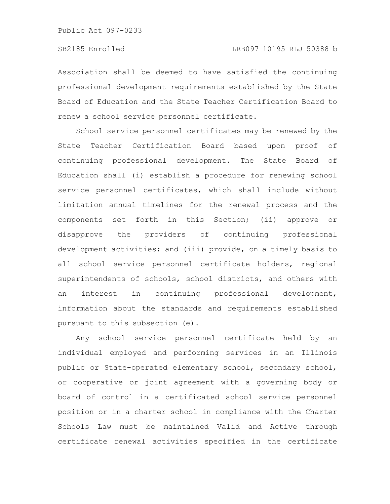Association shall be deemed to have satisfied the continuing professional development requirements established by the State Board of Education and the State Teacher Certification Board to renew a school service personnel certificate.

School service personnel certificates may be renewed by the State Teacher Certification Board based upon proof of continuing professional development. The State Board of Education shall (i) establish a procedure for renewing school service personnel certificates, which shall include without limitation annual timelines for the renewal process and the components set forth in this Section; (ii) approve or disapprove the providers of continuing professional development activities; and (iii) provide, on a timely basis to all school service personnel certificate holders, regional superintendents of schools, school districts, and others with an interest in continuing professional development, information about the standards and requirements established pursuant to this subsection (e).

Any school service personnel certificate held by an individual employed and performing services in an Illinois public or State-operated elementary school, secondary school, or cooperative or joint agreement with a governing body or board of control in a certificated school service personnel position or in a charter school in compliance with the Charter Schools Law must be maintained Valid and Active through certificate renewal activities specified in the certificate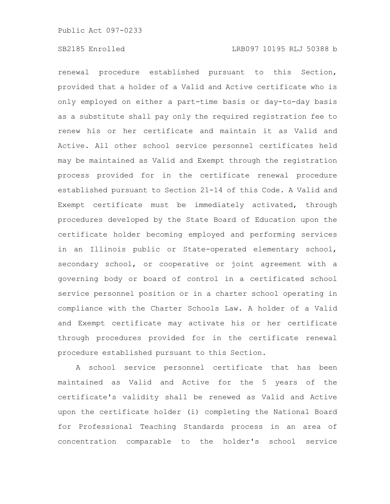renewal procedure established pursuant to this Section, provided that a holder of a Valid and Active certificate who is only employed on either a part-time basis or day-to-day basis as a substitute shall pay only the required registration fee to renew his or her certificate and maintain it as Valid and Active. All other school service personnel certificates held may be maintained as Valid and Exempt through the registration process provided for in the certificate renewal procedure established pursuant to Section 21-14 of this Code. A Valid and Exempt certificate must be immediately activated, through procedures developed by the State Board of Education upon the certificate holder becoming employed and performing services in an Illinois public or State-operated elementary school, secondary school, or cooperative or joint agreement with a governing body or board of control in a certificated school service personnel position or in a charter school operating in compliance with the Charter Schools Law. A holder of a Valid and Exempt certificate may activate his or her certificate through procedures provided for in the certificate renewal procedure established pursuant to this Section.

A school service personnel certificate that has been maintained as Valid and Active for the 5 years of the certificate's validity shall be renewed as Valid and Active upon the certificate holder (i) completing the National Board for Professional Teaching Standards process in an area of concentration comparable to the holder's school service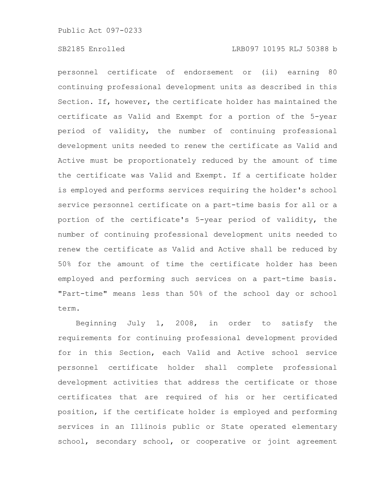personnel certificate of endorsement or (ii) earning 80 continuing professional development units as described in this Section. If, however, the certificate holder has maintained the certificate as Valid and Exempt for a portion of the 5-year period of validity, the number of continuing professional development units needed to renew the certificate as Valid and Active must be proportionately reduced by the amount of time the certificate was Valid and Exempt. If a certificate holder is employed and performs services requiring the holder's school service personnel certificate on a part-time basis for all or a portion of the certificate's 5-year period of validity, the number of continuing professional development units needed to renew the certificate as Valid and Active shall be reduced by 50% for the amount of time the certificate holder has been employed and performing such services on a part-time basis. "Part-time" means less than 50% of the school day or school term.

Beginning July 1, 2008, in order to satisfy the requirements for continuing professional development provided for in this Section, each Valid and Active school service personnel certificate holder shall complete professional development activities that address the certificate or those certificates that are required of his or her certificated position, if the certificate holder is employed and performing services in an Illinois public or State operated elementary school, secondary school, or cooperative or joint agreement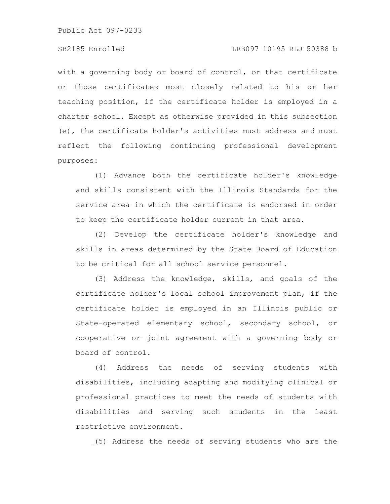# SB2185 Enrolled LRB097 10195 RLJ 50388 b

with a governing body or board of control, or that certificate or those certificates most closely related to his or her teaching position, if the certificate holder is employed in a charter school. Except as otherwise provided in this subsection (e), the certificate holder's activities must address and must reflect the following continuing professional development purposes:

(1) Advance both the certificate holder's knowledge and skills consistent with the Illinois Standards for the service area in which the certificate is endorsed in order to keep the certificate holder current in that area.

(2) Develop the certificate holder's knowledge and skills in areas determined by the State Board of Education to be critical for all school service personnel.

(3) Address the knowledge, skills, and goals of the certificate holder's local school improvement plan, if the certificate holder is employed in an Illinois public or State-operated elementary school, secondary school, or cooperative or joint agreement with a governing body or board of control.

(4) Address the needs of serving students with disabilities, including adapting and modifying clinical or professional practices to meet the needs of students with disabilities and serving such students in the least restrictive environment.

(5) Address the needs of serving students who are the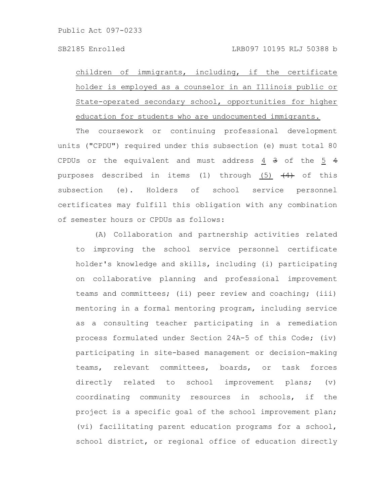children of immigrants, including, if the certificate holder is employed as a counselor in an Illinois public or State-operated secondary school, opportunities for higher education for students who are undocumented immigrants.

The coursework or continuing professional development units ("CPDU") required under this subsection (e) must total 80 CPDUs or the equivalent and must address  $\frac{4}{3}$  3 of the  $\frac{5}{3}$  4 purposes described in items (1) through (5)  $\left(\frac{4}{4}\right)$  of this subsection (e). Holders of school service personnel certificates may fulfill this obligation with any combination of semester hours or CPDUs as follows:

(A) Collaboration and partnership activities related to improving the school service personnel certificate holder's knowledge and skills, including (i) participating on collaborative planning and professional improvement teams and committees; (ii) peer review and coaching; (iii) mentoring in a formal mentoring program, including service as a consulting teacher participating in a remediation process formulated under Section 24A-5 of this Code; (iv) participating in site-based management or decision-making teams, relevant committees, boards, or task forces directly related to school improvement plans; (v) coordinating community resources in schools, if the project is a specific goal of the school improvement plan; (vi) facilitating parent education programs for a school, school district, or regional office of education directly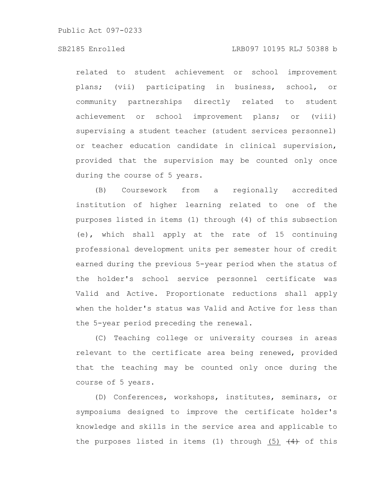related to student achievement or school improvement plans; (vii) participating in business, school, or community partnerships directly related to student achievement or school improvement plans; or (viii) supervising a student teacher (student services personnel) or teacher education candidate in clinical supervision, provided that the supervision may be counted only once during the course of 5 years.

(B) Coursework from a regionally accredited institution of higher learning related to one of the purposes listed in items (1) through (4) of this subsection (e), which shall apply at the rate of 15 continuing professional development units per semester hour of credit earned during the previous 5-year period when the status of the holder's school service personnel certificate was Valid and Active. Proportionate reductions shall apply when the holder's status was Valid and Active for less than the 5-year period preceding the renewal.

(C) Teaching college or university courses in areas relevant to the certificate area being renewed, provided that the teaching may be counted only once during the course of 5 years.

(D) Conferences, workshops, institutes, seminars, or symposiums designed to improve the certificate holder's knowledge and skills in the service area and applicable to the purposes listed in items (1) through (5)  $\left(4\right)$  of this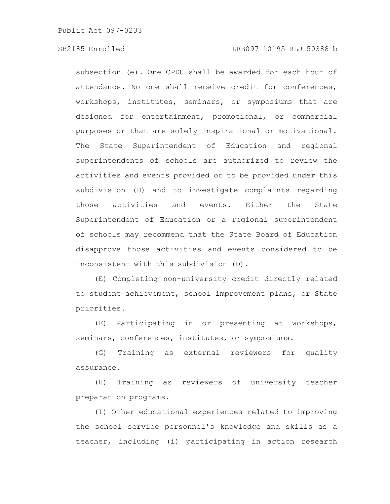subsection (e). One CPDU shall be awarded for each hour of attendance. No one shall receive credit for conferences, workshops, institutes, seminars, or symposiums that are designed for entertainment, promotional, or commercial purposes or that are solely inspirational or motivational. The State Superintendent of Education and regional superintendents of schools are authorized to review the activities and events provided or to be provided under this subdivision (D) and to investigate complaints regarding those activities and events. Either the State Superintendent of Education or a regional superintendent of schools may recommend that the State Board of Education disapprove those activities and events considered to be inconsistent with this subdivision (D).

(E) Completing non-university credit directly related to student achievement, school improvement plans, or State priorities.

(F) Participating in or presenting at workshops, seminars, conferences, institutes, or symposiums.

(G) Training as external reviewers for quality assurance.

(H) Training as reviewers of university teacher preparation programs.

(I) Other educational experiences related to improving the school service personnel's knowledge and skills as a teacher, including (i) participating in action research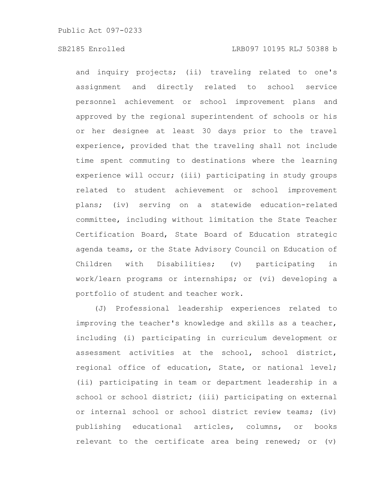and inquiry projects; (ii) traveling related to one's assignment and directly related to school service personnel achievement or school improvement plans and approved by the regional superintendent of schools or his or her designee at least 30 days prior to the travel experience, provided that the traveling shall not include time spent commuting to destinations where the learning experience will occur; (iii) participating in study groups related to student achievement or school improvement plans; (iv) serving on a statewide education-related committee, including without limitation the State Teacher Certification Board, State Board of Education strategic agenda teams, or the State Advisory Council on Education of Children with Disabilities; (v) participating in work/learn programs or internships; or (vi) developing a portfolio of student and teacher work.

(J) Professional leadership experiences related to improving the teacher's knowledge and skills as a teacher, including (i) participating in curriculum development or assessment activities at the school, school district, regional office of education, State, or national level; (ii) participating in team or department leadership in a school or school district; (iii) participating on external or internal school or school district review teams; (iv) publishing educational articles, columns, or books relevant to the certificate area being renewed; or (v)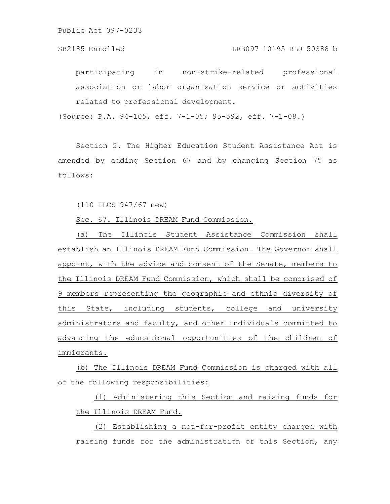participating in non-strike-related professional association or labor organization service or activities related to professional development.

(Source: P.A. 94-105, eff. 7-1-05; 95-592, eff. 7-1-08.)

Section 5. The Higher Education Student Assistance Act is amended by adding Section 67 and by changing Section 75 as follows:

(110 ILCS 947/67 new)

Sec. 67. Illinois DREAM Fund Commission.

(a) The Illinois Student Assistance Commission shall establish an Illinois DREAM Fund Commission. The Governor shall appoint, with the advice and consent of the Senate, members to the Illinois DREAM Fund Commission, which shall be comprised of 9 members representing the geographic and ethnic diversity of this State, including students, college and university administrators and faculty, and other individuals committed to advancing the educational opportunities of the children of immigrants.

(b) The Illinois DREAM Fund Commission is charged with all of the following responsibilities:

(1) Administering this Section and raising funds for the Illinois DREAM Fund.

(2) Establishing a not-for-profit entity charged with raising funds for the administration of this Section, any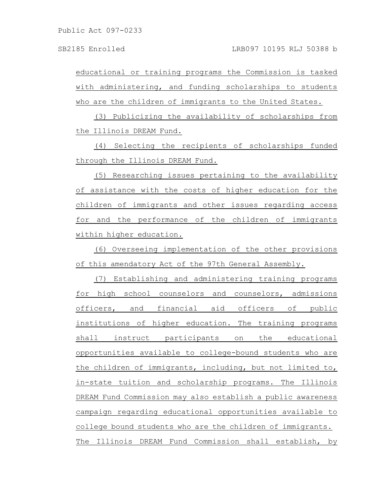educational or training programs the Commission is tasked with administering, and funding scholarships to students who are the children of immigrants to the United States.

(3) Publicizing the availability of scholarships from the Illinois DREAM Fund.

(4) Selecting the recipients of scholarships funded through the Illinois DREAM Fund.

(5) Researching issues pertaining to the availability of assistance with the costs of higher education for the children of immigrants and other issues regarding access for and the performance of the children of immigrants within higher education.

(6) Overseeing implementation of the other provisions of this amendatory Act of the 97th General Assembly.

(7) Establishing and administering training programs for high school counselors and counselors, admissions officers, and financial aid officers of public institutions of higher education. The training programs shall instruct participants on the educational opportunities available to college-bound students who are the children of immigrants, including, but not limited to, in-state tuition and scholarship programs. The Illinois DREAM Fund Commission may also establish a public awareness campaign regarding educational opportunities available to college bound students who are the children of immigrants. The Illinois DREAM Fund Commission shall establish, by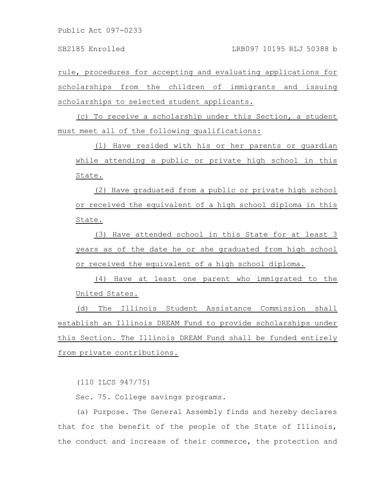rule, procedures for accepting and evaluating applications for scholarships from the children of immigrants and issuing scholarships to selected student applicants.

(c) To receive a scholarship under this Section, a student must meet all of the following qualifications:

(1) Have resided with his or her parents or guardian while attending a public or private high school in this State.

(2) Have graduated from a public or private high school or received the equivalent of a high school diploma in this State.

(3) Have attended school in this State for at least 3 years as of the date he or she graduated from high school or received the equivalent of a high school diploma.

(4) Have at least one parent who immigrated to the United States.

(d) The Illinois Student Assistance Commission shall establish an Illinois DREAM Fund to provide scholarships under this Section. The Illinois DREAM Fund shall be funded entirely from private contributions.

(110 ILCS 947/75)

Sec. 75. College savings programs.

(a) Purpose. The General Assembly finds and hereby declares that for the benefit of the people of the State of Illinois, the conduct and increase of their commerce, the protection and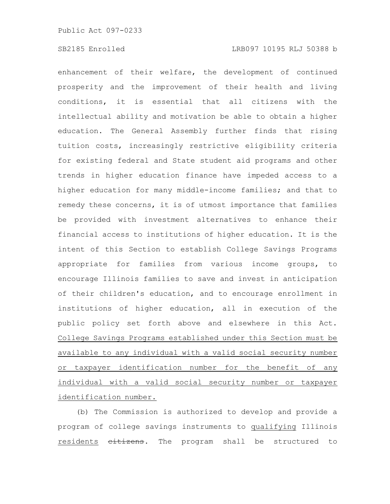enhancement of their welfare, the development of continued prosperity and the improvement of their health and living conditions, it is essential that all citizens with the intellectual ability and motivation be able to obtain a higher education. The General Assembly further finds that rising tuition costs, increasingly restrictive eligibility criteria for existing federal and State student aid programs and other trends in higher education finance have impeded access to a higher education for many middle-income families; and that to remedy these concerns, it is of utmost importance that families be provided with investment alternatives to enhance their financial access to institutions of higher education. It is the intent of this Section to establish College Savings Programs appropriate for families from various income groups, to encourage Illinois families to save and invest in anticipation of their children's education, and to encourage enrollment in institutions of higher education, all in execution of the public policy set forth above and elsewhere in this Act. College Savings Programs established under this Section must be available to any individual with a valid social security number or taxpayer identification number for the benefit of any individual with a valid social security number or taxpayer identification number.

(b) The Commission is authorized to develop and provide a program of college savings instruments to qualifying Illinois residents  $e^{i}$ tizens. The program shall be structured to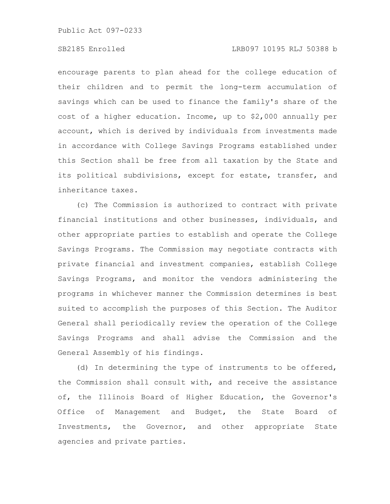# SB2185 Enrolled LRB097 10195 RLJ 50388 b

encourage parents to plan ahead for the college education of their children and to permit the long-term accumulation of savings which can be used to finance the family's share of the cost of a higher education. Income, up to \$2,000 annually per account, which is derived by individuals from investments made in accordance with College Savings Programs established under this Section shall be free from all taxation by the State and its political subdivisions, except for estate, transfer, and inheritance taxes.

(c) The Commission is authorized to contract with private financial institutions and other businesses, individuals, and other appropriate parties to establish and operate the College Savings Programs. The Commission may negotiate contracts with private financial and investment companies, establish College Savings Programs, and monitor the vendors administering the programs in whichever manner the Commission determines is best suited to accomplish the purposes of this Section. The Auditor General shall periodically review the operation of the College Savings Programs and shall advise the Commission and the General Assembly of his findings.

(d) In determining the type of instruments to be offered, the Commission shall consult with, and receive the assistance of, the Illinois Board of Higher Education, the Governor's Office of Management and Budget, the State Board of Investments, the Governor, and other appropriate State agencies and private parties.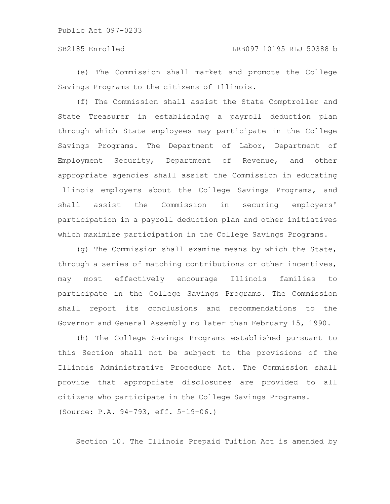(e) The Commission shall market and promote the College Savings Programs to the citizens of Illinois.

(f) The Commission shall assist the State Comptroller and State Treasurer in establishing a payroll deduction plan through which State employees may participate in the College Savings Programs. The Department of Labor, Department of Employment Security, Department of Revenue, and other appropriate agencies shall assist the Commission in educating Illinois employers about the College Savings Programs, and shall assist the Commission in securing employers' participation in a payroll deduction plan and other initiatives which maximize participation in the College Savings Programs.

(g) The Commission shall examine means by which the State, through a series of matching contributions or other incentives, may most effectively encourage Illinois families to participate in the College Savings Programs. The Commission shall report its conclusions and recommendations to the Governor and General Assembly no later than February 15, 1990.

(h) The College Savings Programs established pursuant to this Section shall not be subject to the provisions of the Illinois Administrative Procedure Act. The Commission shall provide that appropriate disclosures are provided to all citizens who participate in the College Savings Programs. (Source: P.A. 94-793, eff. 5-19-06.)

Section 10. The Illinois Prepaid Tuition Act is amended by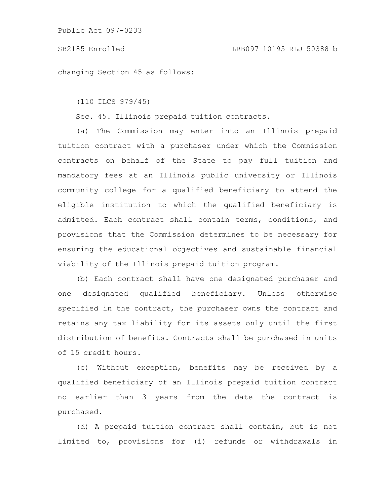changing Section 45 as follows:

(110 ILCS 979/45)

Sec. 45. Illinois prepaid tuition contracts.

(a) The Commission may enter into an Illinois prepaid tuition contract with a purchaser under which the Commission contracts on behalf of the State to pay full tuition and mandatory fees at an Illinois public university or Illinois community college for a qualified beneficiary to attend the eligible institution to which the qualified beneficiary is admitted. Each contract shall contain terms, conditions, and provisions that the Commission determines to be necessary for ensuring the educational objectives and sustainable financial viability of the Illinois prepaid tuition program.

(b) Each contract shall have one designated purchaser and one designated qualified beneficiary. Unless otherwise specified in the contract, the purchaser owns the contract and retains any tax liability for its assets only until the first distribution of benefits. Contracts shall be purchased in units of 15 credit hours.

(c) Without exception, benefits may be received by a qualified beneficiary of an Illinois prepaid tuition contract no earlier than 3 years from the date the contract is purchased.

(d) A prepaid tuition contract shall contain, but is not limited to, provisions for (i) refunds or withdrawals in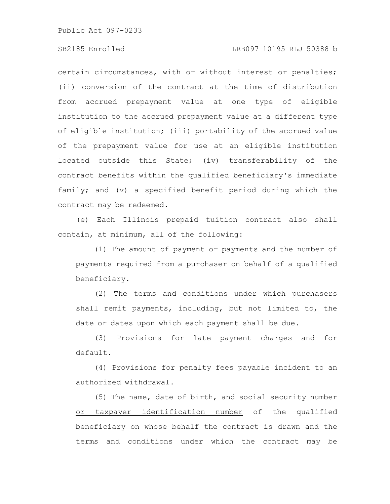certain circumstances, with or without interest or penalties; (ii) conversion of the contract at the time of distribution from accrued prepayment value at one type of eligible institution to the accrued prepayment value at a different type of eligible institution; (iii) portability of the accrued value of the prepayment value for use at an eligible institution located outside this State; (iv) transferability of the contract benefits within the qualified beneficiary's immediate family; and (v) a specified benefit period during which the contract may be redeemed.

(e) Each Illinois prepaid tuition contract also shall contain, at minimum, all of the following:

(1) The amount of payment or payments and the number of payments required from a purchaser on behalf of a qualified beneficiary.

(2) The terms and conditions under which purchasers shall remit payments, including, but not limited to, the date or dates upon which each payment shall be due.

(3) Provisions for late payment charges and for default.

(4) Provisions for penalty fees payable incident to an authorized withdrawal.

(5) The name, date of birth, and social security number or taxpayer identification number of the qualified beneficiary on whose behalf the contract is drawn and the terms and conditions under which the contract may be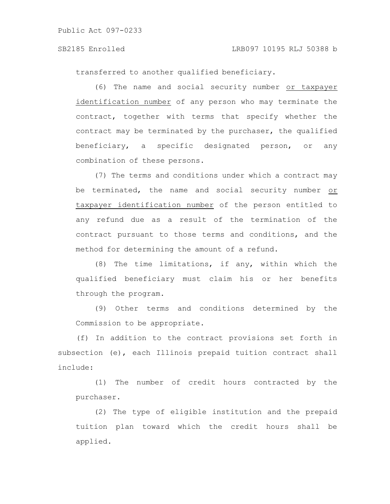transferred to another qualified beneficiary.

(6) The name and social security number or taxpayer identification number of any person who may terminate the contract, together with terms that specify whether the contract may be terminated by the purchaser, the qualified beneficiary, a specific designated person, or any combination of these persons.

(7) The terms and conditions under which a contract may be terminated, the name and social security number or taxpayer identification number of the person entitled to any refund due as a result of the termination of the contract pursuant to those terms and conditions, and the method for determining the amount of a refund.

(8) The time limitations, if any, within which the qualified beneficiary must claim his or her benefits through the program.

(9) Other terms and conditions determined by the Commission to be appropriate.

(f) In addition to the contract provisions set forth in subsection (e), each Illinois prepaid tuition contract shall include:

(1) The number of credit hours contracted by the purchaser.

(2) The type of eligible institution and the prepaid tuition plan toward which the credit hours shall be applied.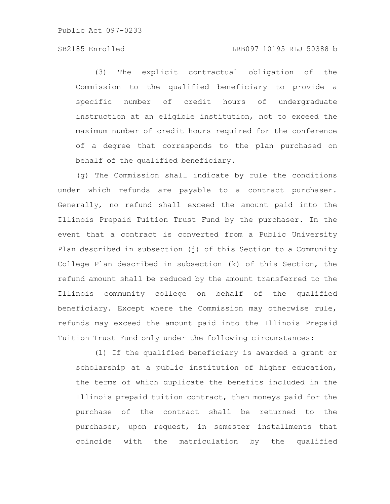### SB2185 Enrolled LRB097 10195 RLJ 50388 b

(3) The explicit contractual obligation of the Commission to the qualified beneficiary to provide a specific number of credit hours of undergraduate instruction at an eligible institution, not to exceed the maximum number of credit hours required for the conference of a degree that corresponds to the plan purchased on behalf of the qualified beneficiary.

(g) The Commission shall indicate by rule the conditions under which refunds are payable to a contract purchaser. Generally, no refund shall exceed the amount paid into the Illinois Prepaid Tuition Trust Fund by the purchaser. In the event that a contract is converted from a Public University Plan described in subsection (j) of this Section to a Community College Plan described in subsection (k) of this Section, the refund amount shall be reduced by the amount transferred to the Illinois community college on behalf of the qualified beneficiary. Except where the Commission may otherwise rule, refunds may exceed the amount paid into the Illinois Prepaid Tuition Trust Fund only under the following circumstances:

(1) If the qualified beneficiary is awarded a grant or scholarship at a public institution of higher education, the terms of which duplicate the benefits included in the Illinois prepaid tuition contract, then moneys paid for the purchase of the contract shall be returned to the purchaser, upon request, in semester installments that coincide with the matriculation by the qualified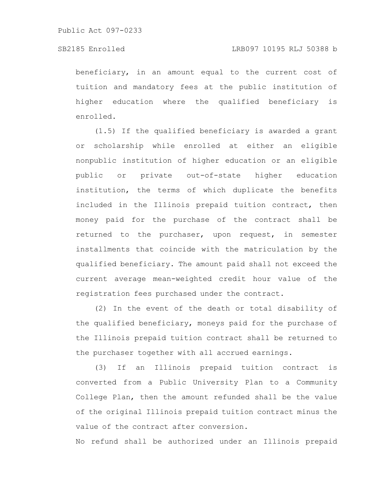beneficiary, in an amount equal to the current cost of tuition and mandatory fees at the public institution of higher education where the qualified beneficiary is enrolled.

(1.5) If the qualified beneficiary is awarded a grant or scholarship while enrolled at either an eligible nonpublic institution of higher education or an eligible public or private out-of-state higher education institution, the terms of which duplicate the benefits included in the Illinois prepaid tuition contract, then money paid for the purchase of the contract shall be returned to the purchaser, upon request, in semester installments that coincide with the matriculation by the qualified beneficiary. The amount paid shall not exceed the current average mean-weighted credit hour value of the registration fees purchased under the contract.

(2) In the event of the death or total disability of the qualified beneficiary, moneys paid for the purchase of the Illinois prepaid tuition contract shall be returned to the purchaser together with all accrued earnings.

(3) If an Illinois prepaid tuition contract is converted from a Public University Plan to a Community College Plan, then the amount refunded shall be the value of the original Illinois prepaid tuition contract minus the value of the contract after conversion.

No refund shall be authorized under an Illinois prepaid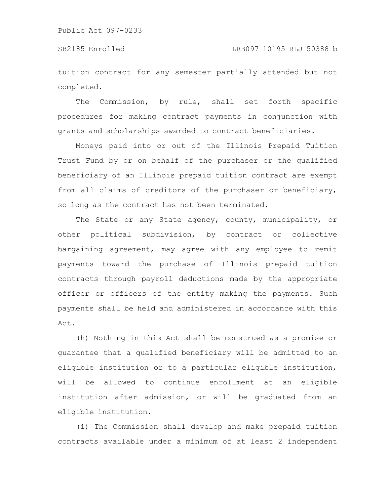tuition contract for any semester partially attended but not completed.

The Commission, by rule, shall set forth specific procedures for making contract payments in conjunction with grants and scholarships awarded to contract beneficiaries.

Moneys paid into or out of the Illinois Prepaid Tuition Trust Fund by or on behalf of the purchaser or the qualified beneficiary of an Illinois prepaid tuition contract are exempt from all claims of creditors of the purchaser or beneficiary, so long as the contract has not been terminated.

The State or any State agency, county, municipality, or other political subdivision, by contract or collective bargaining agreement, may agree with any employee to remit payments toward the purchase of Illinois prepaid tuition contracts through payroll deductions made by the appropriate officer or officers of the entity making the payments. Such payments shall be held and administered in accordance with this Act.

(h) Nothing in this Act shall be construed as a promise or guarantee that a qualified beneficiary will be admitted to an eligible institution or to a particular eligible institution, will be allowed to continue enrollment at an eligible institution after admission, or will be graduated from an eligible institution.

(i) The Commission shall develop and make prepaid tuition contracts available under a minimum of at least 2 independent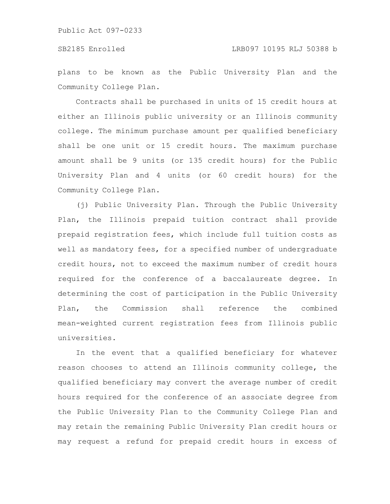plans to be known as the Public University Plan and the Community College Plan.

Contracts shall be purchased in units of 15 credit hours at either an Illinois public university or an Illinois community college. The minimum purchase amount per qualified beneficiary shall be one unit or 15 credit hours. The maximum purchase amount shall be 9 units (or 135 credit hours) for the Public University Plan and 4 units (or 60 credit hours) for the Community College Plan.

(j) Public University Plan. Through the Public University Plan, the Illinois prepaid tuition contract shall provide prepaid registration fees, which include full tuition costs as well as mandatory fees, for a specified number of undergraduate credit hours, not to exceed the maximum number of credit hours required for the conference of a baccalaureate degree. In determining the cost of participation in the Public University Plan, the Commission shall reference the combined mean-weighted current registration fees from Illinois public universities.

In the event that a qualified beneficiary for whatever reason chooses to attend an Illinois community college, the qualified beneficiary may convert the average number of credit hours required for the conference of an associate degree from the Public University Plan to the Community College Plan and may retain the remaining Public University Plan credit hours or may request a refund for prepaid credit hours in excess of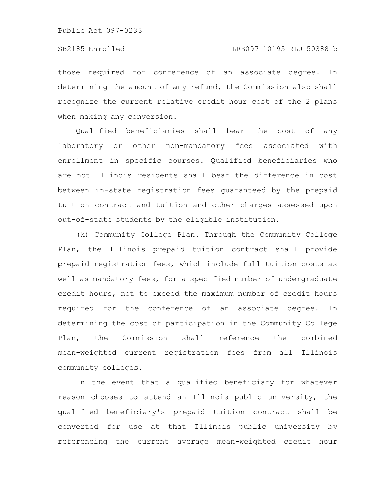those required for conference of an associate degree. In determining the amount of any refund, the Commission also shall recognize the current relative credit hour cost of the 2 plans when making any conversion.

Qualified beneficiaries shall bear the cost of any laboratory or other non-mandatory fees associated with enrollment in specific courses. Qualified beneficiaries who are not Illinois residents shall bear the difference in cost between in-state registration fees guaranteed by the prepaid tuition contract and tuition and other charges assessed upon out-of-state students by the eligible institution.

(k) Community College Plan. Through the Community College Plan, the Illinois prepaid tuition contract shall provide prepaid registration fees, which include full tuition costs as well as mandatory fees, for a specified number of undergraduate credit hours, not to exceed the maximum number of credit hours required for the conference of an associate degree. In determining the cost of participation in the Community College Plan, the Commission shall reference the combined mean-weighted current registration fees from all Illinois community colleges.

In the event that a qualified beneficiary for whatever reason chooses to attend an Illinois public university, the qualified beneficiary's prepaid tuition contract shall be converted for use at that Illinois public university by referencing the current average mean-weighted credit hour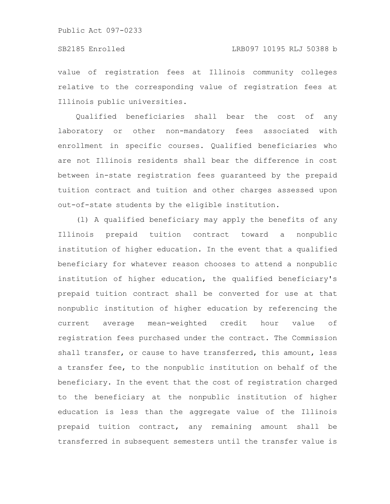value of registration fees at Illinois community colleges relative to the corresponding value of registration fees at Illinois public universities.

Qualified beneficiaries shall bear the cost of any laboratory or other non-mandatory fees associated with enrollment in specific courses. Qualified beneficiaries who are not Illinois residents shall bear the difference in cost between in-state registration fees guaranteed by the prepaid tuition contract and tuition and other charges assessed upon out-of-state students by the eligible institution.

(l) A qualified beneficiary may apply the benefits of any Illinois prepaid tuition contract toward a nonpublic institution of higher education. In the event that a qualified beneficiary for whatever reason chooses to attend a nonpublic institution of higher education, the qualified beneficiary's prepaid tuition contract shall be converted for use at that nonpublic institution of higher education by referencing the current average mean-weighted credit hour value of registration fees purchased under the contract. The Commission shall transfer, or cause to have transferred, this amount, less a transfer fee, to the nonpublic institution on behalf of the beneficiary. In the event that the cost of registration charged to the beneficiary at the nonpublic institution of higher education is less than the aggregate value of the Illinois prepaid tuition contract, any remaining amount shall be transferred in subsequent semesters until the transfer value is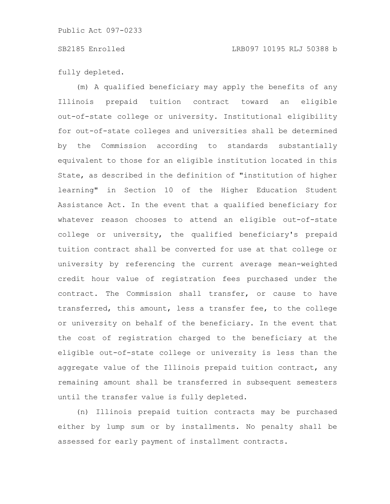fully depleted.

(m) A qualified beneficiary may apply the benefits of any Illinois prepaid tuition contract toward an eligible out-of-state college or university. Institutional eligibility for out-of-state colleges and universities shall be determined by the Commission according to standards substantially equivalent to those for an eligible institution located in this State, as described in the definition of "institution of higher learning" in Section 10 of the Higher Education Student Assistance Act. In the event that a qualified beneficiary for whatever reason chooses to attend an eligible out-of-state college or university, the qualified beneficiary's prepaid tuition contract shall be converted for use at that college or university by referencing the current average mean-weighted credit hour value of registration fees purchased under the contract. The Commission shall transfer, or cause to have transferred, this amount, less a transfer fee, to the college or university on behalf of the beneficiary. In the event that the cost of registration charged to the beneficiary at the eligible out-of-state college or university is less than the aggregate value of the Illinois prepaid tuition contract, any remaining amount shall be transferred in subsequent semesters until the transfer value is fully depleted.

(n) Illinois prepaid tuition contracts may be purchased either by lump sum or by installments. No penalty shall be assessed for early payment of installment contracts.